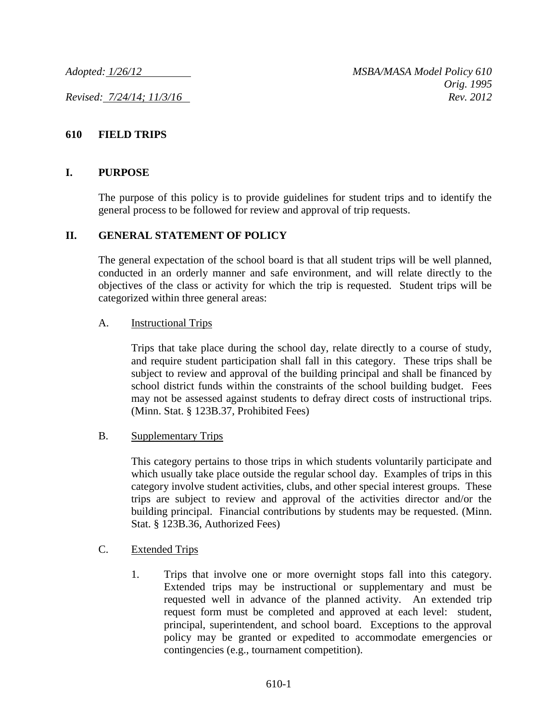### **610 FIELD TRIPS**

#### **I. PURPOSE**

The purpose of this policy is to provide guidelines for student trips and to identify the general process to be followed for review and approval of trip requests.

#### **II. GENERAL STATEMENT OF POLICY**

The general expectation of the school board is that all student trips will be well planned, conducted in an orderly manner and safe environment, and will relate directly to the objectives of the class or activity for which the trip is requested. Student trips will be categorized within three general areas:

#### A. Instructional Trips

Trips that take place during the school day, relate directly to a course of study, and require student participation shall fall in this category. These trips shall be subject to review and approval of the building principal and shall be financed by school district funds within the constraints of the school building budget. Fees may not be assessed against students to defray direct costs of instructional trips. (Minn. Stat. § 123B.37, Prohibited Fees)

#### B. Supplementary Trips

This category pertains to those trips in which students voluntarily participate and which usually take place outside the regular school day. Examples of trips in this category involve student activities, clubs, and other special interest groups. These trips are subject to review and approval of the activities director and/or the building principal. Financial contributions by students may be requested. (Minn. Stat. § 123B.36, Authorized Fees)

#### C. Extended Trips

1. Trips that involve one or more overnight stops fall into this category. Extended trips may be instructional or supplementary and must be requested well in advance of the planned activity. An extended trip request form must be completed and approved at each level: student, principal, superintendent, and school board. Exceptions to the approval policy may be granted or expedited to accommodate emergencies or contingencies (e.g., tournament competition).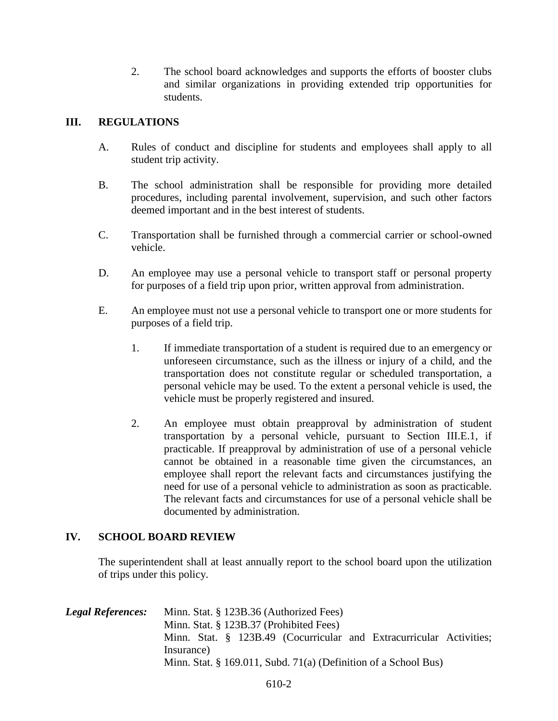2. The school board acknowledges and supports the efforts of booster clubs and similar organizations in providing extended trip opportunities for students.

# **III. REGULATIONS**

- A. Rules of conduct and discipline for students and employees shall apply to all student trip activity.
- B. The school administration shall be responsible for providing more detailed procedures, including parental involvement, supervision, and such other factors deemed important and in the best interest of students.
- C. Transportation shall be furnished through a commercial carrier or school-owned vehicle.
- D. An employee may use a personal vehicle to transport staff or personal property for purposes of a field trip upon prior, written approval from administration.
- E. An employee must not use a personal vehicle to transport one or more students for purposes of a field trip.
	- 1. If immediate transportation of a student is required due to an emergency or unforeseen circumstance, such as the illness or injury of a child, and the transportation does not constitute regular or scheduled transportation, a personal vehicle may be used. To the extent a personal vehicle is used, the vehicle must be properly registered and insured.
	- 2. An employee must obtain preapproval by administration of student transportation by a personal vehicle, pursuant to Section III.E.1, if practicable. If preapproval by administration of use of a personal vehicle cannot be obtained in a reasonable time given the circumstances, an employee shall report the relevant facts and circumstances justifying the need for use of a personal vehicle to administration as soon as practicable. The relevant facts and circumstances for use of a personal vehicle shall be documented by administration.

## **IV. SCHOOL BOARD REVIEW**

The superintendent shall at least annually report to the school board upon the utilization of trips under this policy.

| <b>Legal References:</b> | Minn. Stat. § 123B.36 (Authorized Fees)                             |
|--------------------------|---------------------------------------------------------------------|
|                          | Minn. Stat. § 123B.37 (Prohibited Fees)                             |
|                          | Minn. Stat. § 123B.49 (Cocurricular and Extracurricular Activities; |
|                          | Insurance)                                                          |
|                          | Minn. Stat. § 169.011, Subd. 71(a) (Definition of a School Bus)     |